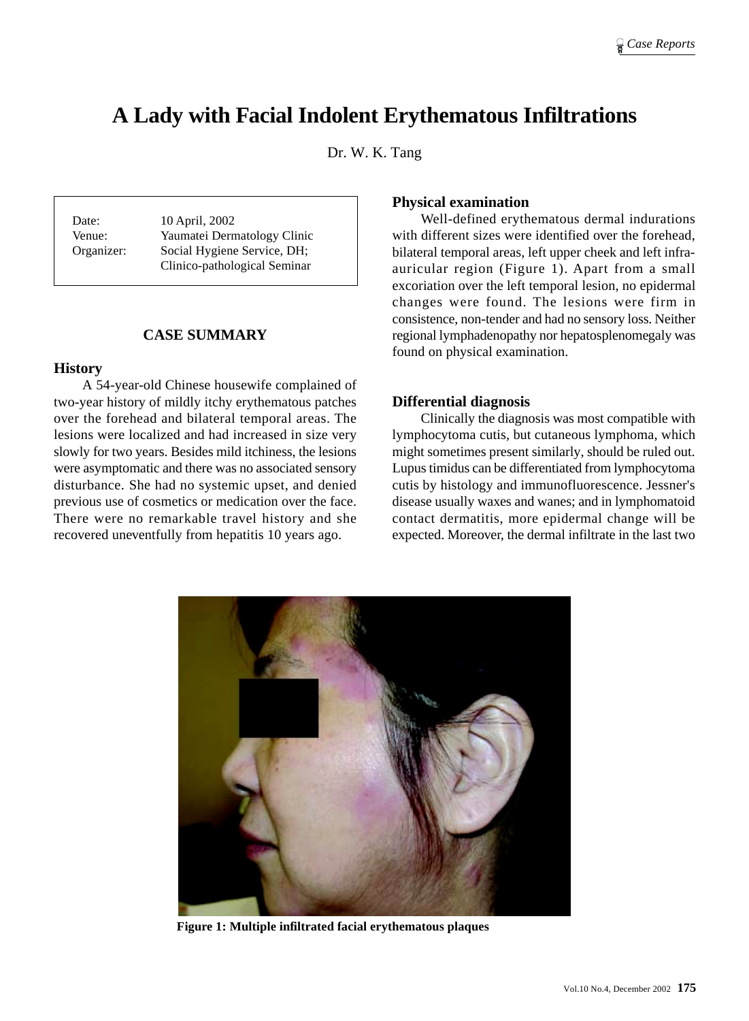# **A Lady with Facial Indolent Erythematous Infiltrations**

Dr. W. K. Tang

Date: 10 April, 2002 Venue: Yaumatei Dermatology Clinic Organizer: Social Hygiene Service, DH; Clinico-pathological Seminar

# **CASE SUMMARY**

## **History**

A 54-year-old Chinese housewife complained of two-year history of mildly itchy erythematous patches over the forehead and bilateral temporal areas. The lesions were localized and had increased in size very slowly for two years. Besides mild itchiness, the lesions were asymptomatic and there was no associated sensory disturbance. She had no systemic upset, and denied previous use of cosmetics or medication over the face. There were no remarkable travel history and she recovered uneventfully from hepatitis 10 years ago.

## **Physical examination**

Well-defined erythematous dermal indurations with different sizes were identified over the forehead, bilateral temporal areas, left upper cheek and left infraauricular region (Figure 1). Apart from a small excoriation over the left temporal lesion, no epidermal changes were found. The lesions were firm in consistence, non-tender and had no sensory loss. Neither regional lymphadenopathy nor hepatosplenomegaly was found on physical examination.

## **Differential diagnosis**

Clinically the diagnosis was most compatible with lymphocytoma cutis, but cutaneous lymphoma, which might sometimes present similarly, should be ruled out. Lupus timidus can be differentiated from lymphocytoma cutis by histology and immunofluorescence. Jessner's disease usually waxes and wanes; and in lymphomatoid contact dermatitis, more epidermal change will be expected. Moreover, the dermal infiltrate in the last two



**Figure 1: Multiple infiltrated facial erythematous plaques**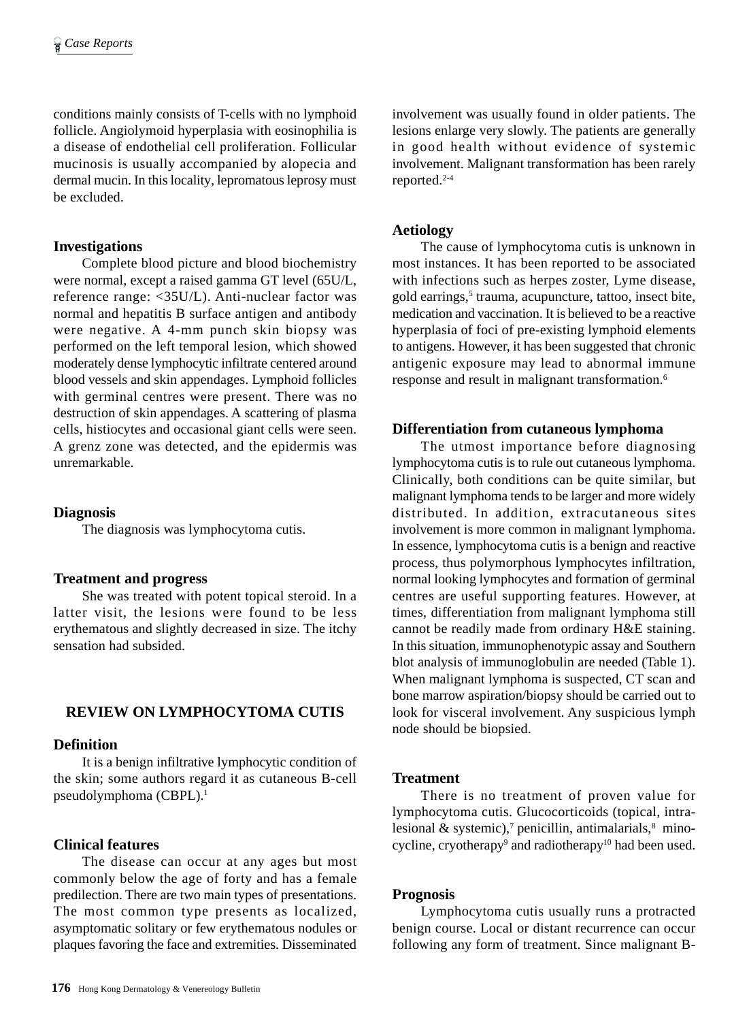conditions mainly consists of T-cells with no lymphoid follicle. Angiolymoid hyperplasia with eosinophilia is a disease of endothelial cell proliferation. Follicular mucinosis is usually accompanied by alopecia and dermal mucin. In this locality, lepromatous leprosy must be excluded.

## **Investigations**

Complete blood picture and blood biochemistry were normal, except a raised gamma GT level (65U/L, reference range: <35U/L). Anti-nuclear factor was normal and hepatitis B surface antigen and antibody were negative. A 4-mm punch skin biopsy was performed on the left temporal lesion, which showed moderately dense lymphocytic infiltrate centered around blood vessels and skin appendages. Lymphoid follicles with germinal centres were present. There was no destruction of skin appendages. A scattering of plasma cells, histiocytes and occasional giant cells were seen. A grenz zone was detected, and the epidermis was unremarkable.

## **Diagnosis**

The diagnosis was lymphocytoma cutis.

## **Treatment and progress**

She was treated with potent topical steroid. In a latter visit, the lesions were found to be less erythematous and slightly decreased in size. The itchy sensation had subsided.

# **REVIEW ON LYMPHOCYTOMA CUTIS**

## **Definition**

It is a benign infiltrative lymphocytic condition of the skin; some authors regard it as cutaneous B-cell pseudolymphoma (CBPL).1

## **Clinical features**

The disease can occur at any ages but most commonly below the age of forty and has a female predilection. There are two main types of presentations. The most common type presents as localized, asymptomatic solitary or few erythematous nodules or plaques favoring the face and extremities. Disseminated

involvement was usually found in older patients. The lesions enlarge very slowly. The patients are generally in good health without evidence of systemic involvement. Malignant transformation has been rarely reported.2-4

## **Aetiology**

The cause of lymphocytoma cutis is unknown in most instances. It has been reported to be associated with infections such as herpes zoster, Lyme disease, gold earrings,<sup>5</sup> trauma, acupuncture, tattoo, insect bite, medication and vaccination. It is believed to be a reactive hyperplasia of foci of pre-existing lymphoid elements to antigens. However, it has been suggested that chronic antigenic exposure may lead to abnormal immune response and result in malignant transformation.6

## **Differentiation from cutaneous lymphoma**

The utmost importance before diagnosing lymphocytoma cutis is to rule out cutaneous lymphoma. Clinically, both conditions can be quite similar, but malignant lymphoma tends to be larger and more widely distributed. In addition, extracutaneous sites involvement is more common in malignant lymphoma. In essence, lymphocytoma cutis is a benign and reactive process, thus polymorphous lymphocytes infiltration, normal looking lymphocytes and formation of germinal centres are useful supporting features. However, at times, differentiation from malignant lymphoma still cannot be readily made from ordinary H&E staining. In this situation, immunophenotypic assay and Southern blot analysis of immunoglobulin are needed (Table 1). When malignant lymphoma is suspected, CT scan and bone marrow aspiration/biopsy should be carried out to look for visceral involvement. Any suspicious lymph node should be biopsied.

## **Treatment**

There is no treatment of proven value for lymphocytoma cutis. Glucocorticoids (topical, intralesional & systemic),<sup>7</sup> penicillin, antimalarials, $\frac{8}{3}$  minocycline, cryotherapy<sup>9</sup> and radiotherapy<sup>10</sup> had been used.

## **Prognosis**

Lymphocytoma cutis usually runs a protracted benign course. Local or distant recurrence can occur following any form of treatment. Since malignant B-